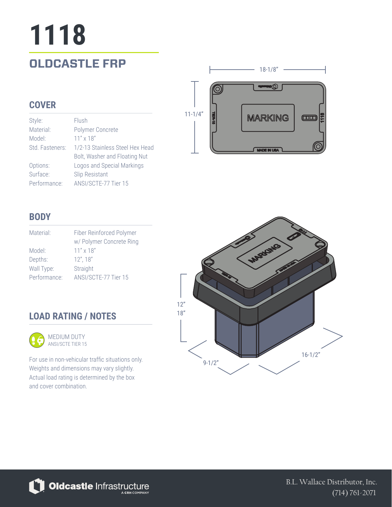# **1118**

### **OLDCASTLE FRP** 28-1/8"

#### **COVER**

| Style:          | Flush                           |
|-----------------|---------------------------------|
| Material:       | Polymer Concrete                |
| Model:          | $11'' \times 18''$              |
| Std. Fasteners: | 1/2-13 Stainless Steel Hex Head |
|                 | Bolt, Washer and Floating Nut   |
| Options:        | Logos and Special Markings      |
| Surface:        | Slip Resistant                  |
| Performance:    | ANSI/SCTE-77 Tier 15            |



#### **BODY**

| Material:    | Fiber Reinforced Polymer<br>w/ Polymer Concrete Ring |
|--------------|------------------------------------------------------|
| Model:       | $11'' \times 18''$                                   |
| Depths:      | $12$ ", $18$ "                                       |
| Wall Type:   | Straight                                             |
| Performance: | ANSI/SCTE-77 Tier 15                                 |

#### **LOAD RATING / NOTES**



For use in non-vehicular traffic situations only. Weights and dimensions may vary slightly. Actual load rating is determined by the box and cover combination.